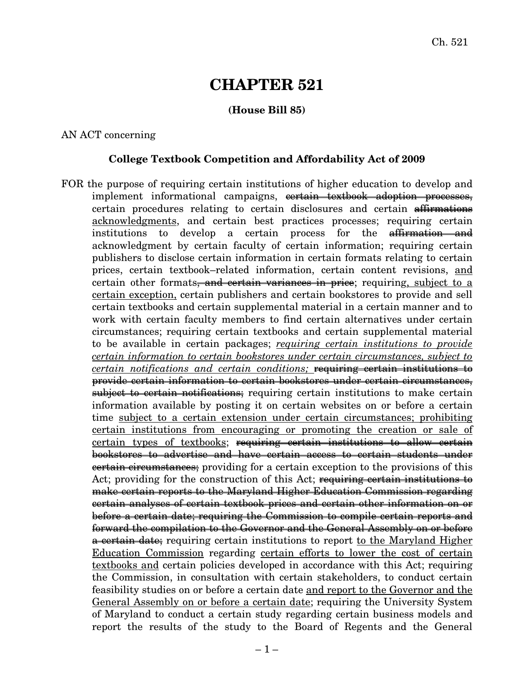# **CHAPTER 521**

## **(House Bill 85)**

## AN ACT concerning

## **College Textbook Competition and Affordability Act of 2009**

FOR the purpose of requiring certain institutions of higher education to develop and implement informational campaigns, cortain textbook adoption processes, certain procedures relating to certain disclosures and certain affirmations acknowledgments, and certain best practices processes; requiring certain institutions to develop a certain process for the <del>affirmation and</del> acknowledgment by certain faculty of certain information; requiring certain publishers to disclose certain information in certain formats relating to certain prices, certain textbook–related information, certain content revisions, and certain other formats, and certain variances in price; requiring, subject to a certain exception, certain publishers and certain bookstores to provide and sell certain textbooks and certain supplemental material in a certain manner and to work with certain faculty members to find certain alternatives under certain circumstances; requiring certain textbooks and certain supplemental material to be available in certain packages; *requiring certain institutions to provide certain information to certain bookstores under certain circumstances, subject to certain notifications and certain conditions;* requiring certain institutions to provide certain information to certain bookstores under certain circumstances, subject to certain notifications; requiring certain institutions to make certain information available by posting it on certain websites on or before a certain time subject to a certain extension under certain circumstances; prohibiting certain institutions from encouraging or promoting the creation or sale of certain types of textbooks; requiring certain institutions to allow certain bookstores to advertise and have certain access to certain students under **certain circumstances**; providing for a certain exception to the provisions of this Act; providing for the construction of this Act; requiring certain institutions to make certain reports to the Maryland Higher Education Commission regarding certain analyses of certain textbook prices and certain other information on or before a certain date; requiring the Commission to compile certain reports and forward the compilation to the Governor and the General Assembly on or before a certain date; requiring certain institutions to report to the Maryland Higher Education Commission regarding certain efforts to lower the cost of certain textbooks and certain policies developed in accordance with this Act; requiring the Commission, in consultation with certain stakeholders, to conduct certain feasibility studies on or before a certain date and report to the Governor and the General Assembly on or before a certain date; requiring the University System of Maryland to conduct a certain study regarding certain business models and report the results of the study to the Board of Regents and the General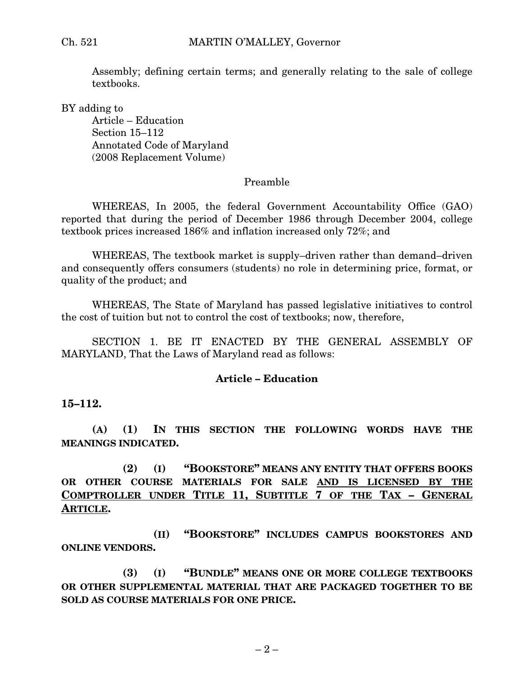Assembly; defining certain terms; and generally relating to the sale of college textbooks.

BY adding to

Article – Education Section 15–112 Annotated Code of Maryland (2008 Replacement Volume)

#### Preamble

WHEREAS, In 2005, the federal Government Accountability Office (GAO) reported that during the period of December 1986 through December 2004, college textbook prices increased 186% and inflation increased only 72%; and

WHEREAS, The textbook market is supply–driven rather than demand–driven and consequently offers consumers (students) no role in determining price, format, or quality of the product; and

WHEREAS, The State of Maryland has passed legislative initiatives to control the cost of tuition but not to control the cost of textbooks; now, therefore,

SECTION 1. BE IT ENACTED BY THE GENERAL ASSEMBLY OF MARYLAND, That the Laws of Maryland read as follows:

#### **Article – Education**

## **15–112.**

**(A) (1) IN THIS SECTION THE FOLLOWING WORDS HAVE THE MEANINGS INDICATED.**

**(2) (I) "BOOKSTORE" MEANS ANY ENTITY THAT OFFERS BOOKS OR OTHER COURSE MATERIALS FOR SALE AND IS LICENSED BY THE COMPTROLLER UNDER TITLE 11, SUBTITLE 7 OF THE TAX – GENERAL ARTICLE.**

**(II) "BOOKSTORE" INCLUDES CAMPUS BOOKSTORES AND ONLINE VENDORS.**

**(3) (I) "BUNDLE" MEANS ONE OR MORE COLLEGE TEXTBOOKS OR OTHER SUPPLEMENTAL MATERIAL THAT ARE PACKAGED TOGETHER TO BE SOLD AS COURSE MATERIALS FOR ONE PRICE.**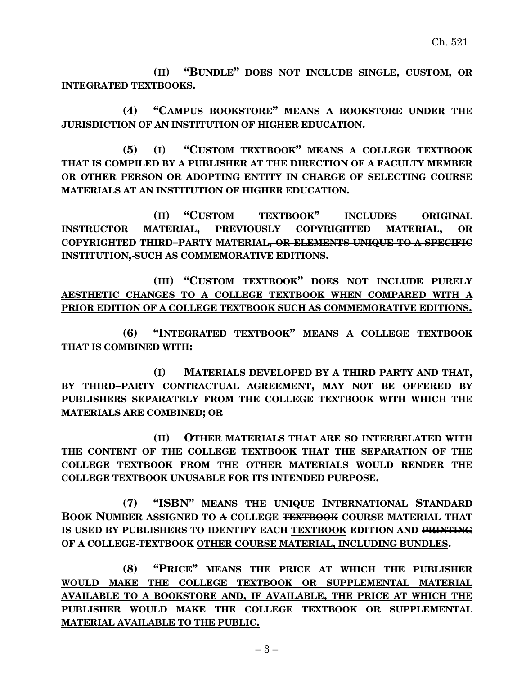**(II) "BUNDLE" DOES NOT INCLUDE SINGLE, CUSTOM, OR INTEGRATED TEXTBOOKS.**

**(4) "CAMPUS BOOKSTORE" MEANS A BOOKSTORE UNDER THE JURISDICTION OF AN INSTITUTION OF HIGHER EDUCATION.**

**(5) (I) "CUSTOM TEXTBOOK" MEANS A COLLEGE TEXTBOOK THAT IS COMPILED BY A PUBLISHER AT THE DIRECTION OF A FACULTY MEMBER OR OTHER PERSON OR ADOPTING ENTITY IN CHARGE OF SELECTING COURSE MATERIALS AT AN INSTITUTION OF HIGHER EDUCATION.**

**(II) "CUSTOM TEXTBOOK" INCLUDES ORIGINAL INSTRUCTOR MATERIAL, PREVIOUSLY COPYRIGHTED MATERIAL, OR COPYRIGHTED THIRD–PARTY MATERIAL, OR ELEMENTS UNIQUE TO A SPECIFIC INSTITUTION, SUCH AS COMMEMORATIVE EDITIONS.**

**(III) "CUSTOM TEXTBOOK" DOES NOT INCLUDE PURELY AESTHETIC CHANGES TO A COLLEGE TEXTBOOK WHEN COMPARED WITH A PRIOR EDITION OF A COLLEGE TEXTBOOK SUCH AS COMMEMORATIVE EDITIONS.**

**(6) "INTEGRATED TEXTBOOK" MEANS A COLLEGE TEXTBOOK THAT IS COMBINED WITH:**

**(I) MATERIALS DEVELOPED BY A THIRD PARTY AND THAT, BY THIRD–PARTY CONTRACTUAL AGREEMENT, MAY NOT BE OFFERED BY PUBLISHERS SEPARATELY FROM THE COLLEGE TEXTBOOK WITH WHICH THE MATERIALS ARE COMBINED; OR**

**(II) OTHER MATERIALS THAT ARE SO INTERRELATED WITH THE CONTENT OF THE COLLEGE TEXTBOOK THAT THE SEPARATION OF THE COLLEGE TEXTBOOK FROM THE OTHER MATERIALS WOULD RENDER THE COLLEGE TEXTBOOK UNUSABLE FOR ITS INTENDED PURPOSE.**

**(7) "ISBN" MEANS THE UNIQUE INTERNATIONAL STANDARD BOOK NUMBER ASSIGNED TO A COLLEGE TEXTBOOK COURSE MATERIAL THAT IS USED BY PUBLISHERS TO IDENTIFY EACH TEXTBOOK EDITION AND PRINTING OF A COLLEGE TEXTBOOK OTHER COURSE MATERIAL, INCLUDING BUNDLES.**

**(8) "PRICE" MEANS THE PRICE AT WHICH THE PUBLISHER WOULD MAKE THE COLLEGE TEXTBOOK OR SUPPLEMENTAL MATERIAL AVAILABLE TO A BOOKSTORE AND, IF AVAILABLE, THE PRICE AT WHICH THE PUBLISHER WOULD MAKE THE COLLEGE TEXTBOOK OR SUPPLEMENTAL MATERIAL AVAILABLE TO THE PUBLIC.**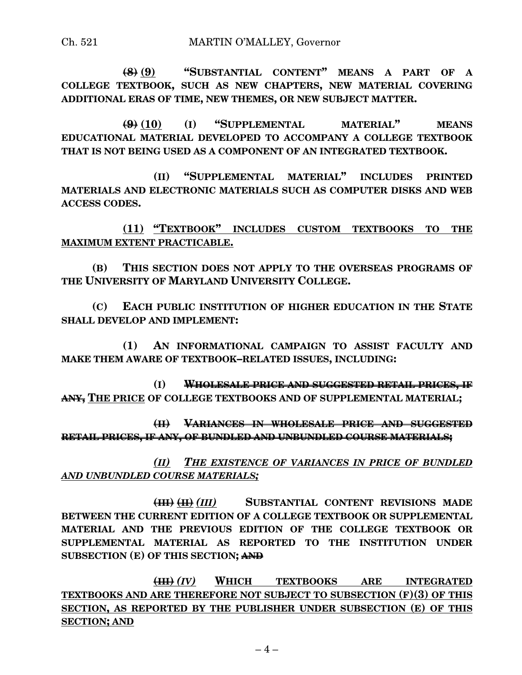**(8) (9) "SUBSTANTIAL CONTENT" MEANS A PART OF A COLLEGE TEXTBOOK, SUCH AS NEW CHAPTERS, NEW MATERIAL COVERING ADDITIONAL ERAS OF TIME, NEW THEMES, OR NEW SUBJECT MATTER.**

**(9) (10) (I) "SUPPLEMENTAL MATERIAL" MEANS EDUCATIONAL MATERIAL DEVELOPED TO ACCOMPANY A COLLEGE TEXTBOOK THAT IS NOT BEING USED AS A COMPONENT OF AN INTEGRATED TEXTBOOK.**

**(II) "SUPPLEMENTAL MATERIAL" INCLUDES PRINTED MATERIALS AND ELECTRONIC MATERIALS SUCH AS COMPUTER DISKS AND WEB ACCESS CODES.**

**(11) "TEXTBOOK" INCLUDES CUSTOM TEXTBOOKS TO THE MAXIMUM EXTENT PRACTICABLE.**

**(B) THIS SECTION DOES NOT APPLY TO THE OVERSEAS PROGRAMS OF THE UNIVERSITY OF MARYLAND UNIVERSITY COLLEGE.**

**(C) EACH PUBLIC INSTITUTION OF HIGHER EDUCATION IN THE STATE SHALL DEVELOP AND IMPLEMENT:**

**(1) AN INFORMATIONAL CAMPAIGN TO ASSIST FACULTY AND MAKE THEM AWARE OF TEXTBOOK–RELATED ISSUES, INCLUDING:**

**(I) WHOLESALE PRICE AND SUGGESTED RETAIL PRICES, IF ANY, THE PRICE OF COLLEGE TEXTBOOKS AND OF SUPPLEMENTAL MATERIAL;**

**(II) VARIANCES IN WHOLESALE PRICE AND SUGGESTED RETAIL PRICES, IF ANY, OF BUNDLED AND UNBUNDLED COURSE MATERIALS;**

*(II) THE EXISTENCE OF VARIANCES IN PRICE OF BUNDLED AND UNBUNDLED COURSE MATERIALS;*

**(III) (II)** *(III)* **SUBSTANTIAL CONTENT REVISIONS MADE BETWEEN THE CURRENT EDITION OF A COLLEGE TEXTBOOK OR SUPPLEMENTAL MATERIAL AND THE PREVIOUS EDITION OF THE COLLEGE TEXTBOOK OR SUPPLEMENTAL MATERIAL AS REPORTED TO THE INSTITUTION UNDER SUBSECTION (E) OF THIS SECTION; AND**

**(III)** *(IV)* **WHICH TEXTBOOKS ARE INTEGRATED TEXTBOOKS AND ARE THEREFORE NOT SUBJECT TO SUBSECTION (F)(3) OF THIS SECTION, AS REPORTED BY THE PUBLISHER UNDER SUBSECTION (E) OF THIS SECTION; AND**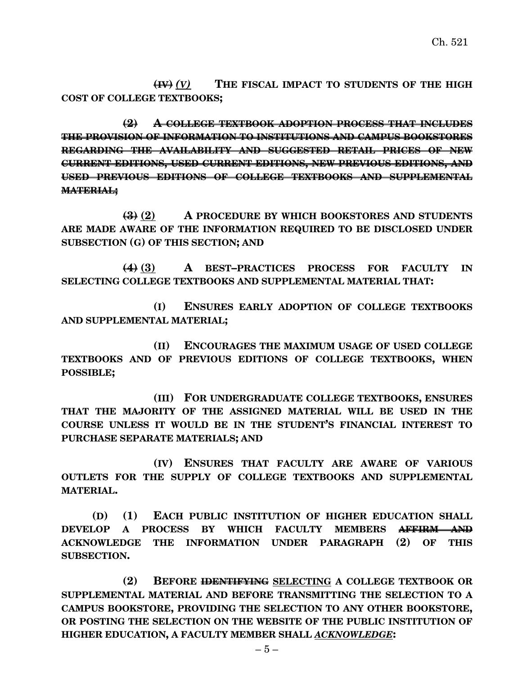**(IV)** *(V)* **THE FISCAL IMPACT TO STUDENTS OF THE HIGH COST OF COLLEGE TEXTBOOKS;**

**(2) A COLLEGE TEXTBOOK ADOPTION PROCESS THAT INCLUDES THE PROVISION OF INFORMATION TO INSTITUTIONS AND CAMPUS BOOKSTORES REGARDING THE AVAILABILITY AND SUGGESTED RETAIL PRICES OF NEW CURRENT EDITIONS, USED CURRENT EDITIONS, NEW PREVIOUS EDITIONS, AND USED PREVIOUS EDITIONS OF COLLEGE TEXTBOOKS AND SUPPLEMENTAL MATERIAL;**

**(3) (2) A PROCEDURE BY WHICH BOOKSTORES AND STUDENTS ARE MADE AWARE OF THE INFORMATION REQUIRED TO BE DISCLOSED UNDER SUBSECTION (G) OF THIS SECTION; AND**

**(4) (3) A BEST–PRACTICES PROCESS FOR FACULTY IN SELECTING COLLEGE TEXTBOOKS AND SUPPLEMENTAL MATERIAL THAT:**

**(I) ENSURES EARLY ADOPTION OF COLLEGE TEXTBOOKS AND SUPPLEMENTAL MATERIAL;**

**(II) ENCOURAGES THE MAXIMUM USAGE OF USED COLLEGE TEXTBOOKS AND OF PREVIOUS EDITIONS OF COLLEGE TEXTBOOKS, WHEN POSSIBLE;**

**(III) FOR UNDERGRADUATE COLLEGE TEXTBOOKS, ENSURES THAT THE MAJORITY OF THE ASSIGNED MATERIAL WILL BE USED IN THE COURSE UNLESS IT WOULD BE IN THE STUDENT'S FINANCIAL INTEREST TO PURCHASE SEPARATE MATERIALS; AND**

**(IV) ENSURES THAT FACULTY ARE AWARE OF VARIOUS OUTLETS FOR THE SUPPLY OF COLLEGE TEXTBOOKS AND SUPPLEMENTAL MATERIAL.**

**(D) (1) EACH PUBLIC INSTITUTION OF HIGHER EDUCATION SHALL DEVELOP A PROCESS BY WHICH FACULTY MEMBERS AFFIRM AND ACKNOWLEDGE THE INFORMATION UNDER PARAGRAPH (2) OF THIS SUBSECTION.**

**(2) BEFORE IDENTIFYING SELECTING A COLLEGE TEXTBOOK OR SUPPLEMENTAL MATERIAL AND BEFORE TRANSMITTING THE SELECTION TO A CAMPUS BOOKSTORE, PROVIDING THE SELECTION TO ANY OTHER BOOKSTORE, OR POSTING THE SELECTION ON THE WEBSITE OF THE PUBLIC INSTITUTION OF HIGHER EDUCATION, A FACULTY MEMBER SHALL** *ACKNOWLEDGE***:**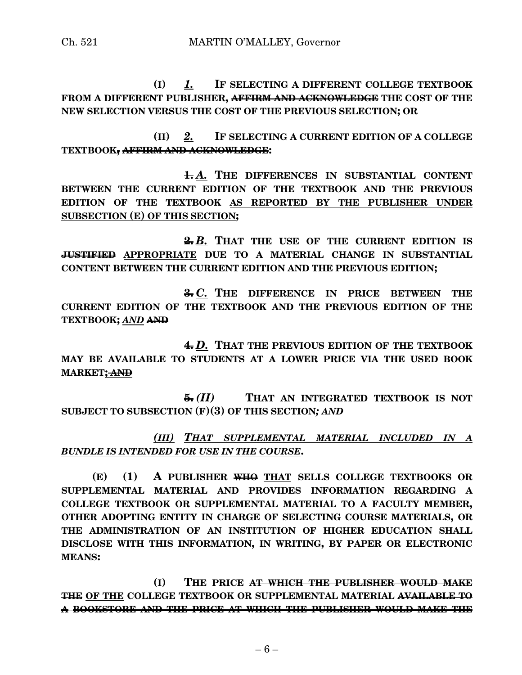Ch. 521 MARTIN O'MALLEY, Governor

**(I)** *1.* **IF SELECTING A DIFFERENT COLLEGE TEXTBOOK FROM A DIFFERENT PUBLISHER, AFFIRM AND ACKNOWLEDGE THE COST OF THE NEW SELECTION VERSUS THE COST OF THE PREVIOUS SELECTION; OR**

**(II)** *2.* **IF SELECTING A CURRENT EDITION OF A COLLEGE TEXTBOOK, AFFIRM AND ACKNOWLEDGE:**

**1.** *A.* **THE DIFFERENCES IN SUBSTANTIAL CONTENT BETWEEN THE CURRENT EDITION OF THE TEXTBOOK AND THE PREVIOUS EDITION OF THE TEXTBOOK AS REPORTED BY THE PUBLISHER UNDER SUBSECTION (E) OF THIS SECTION;**

**2.** *B.* **THAT THE USE OF THE CURRENT EDITION IS JUSTIFIED APPROPRIATE DUE TO A MATERIAL CHANGE IN SUBSTANTIAL CONTENT BETWEEN THE CURRENT EDITION AND THE PREVIOUS EDITION;**

**3.** *C.* **THE DIFFERENCE IN PRICE BETWEEN THE CURRENT EDITION OF THE TEXTBOOK AND THE PREVIOUS EDITION OF THE TEXTBOOK;** *AND* **AND**

**4.** *D.* **THAT THE PREVIOUS EDITION OF THE TEXTBOOK MAY BE AVAILABLE TO STUDENTS AT A LOWER PRICE VIA THE USED BOOK MARKET; AND**

**5.** *(II)* **THAT AN INTEGRATED TEXTBOOK IS NOT SUBJECT TO SUBSECTION (F)(3) OF THIS SECTION***; AND*

*(III) THAT SUPPLEMENTAL MATERIAL INCLUDED IN A BUNDLE IS INTENDED FOR USE IN THE COURSE***.**

**(E) (1) A PUBLISHER WHO THAT SELLS COLLEGE TEXTBOOKS OR SUPPLEMENTAL MATERIAL AND PROVIDES INFORMATION REGARDING A COLLEGE TEXTBOOK OR SUPPLEMENTAL MATERIAL TO A FACULTY MEMBER, OTHER ADOPTING ENTITY IN CHARGE OF SELECTING COURSE MATERIALS, OR THE ADMINISTRATION OF AN INSTITUTION OF HIGHER EDUCATION SHALL DISCLOSE WITH THIS INFORMATION, IN WRITING, BY PAPER OR ELECTRONIC MEANS:**

**(I) THE PRICE AT WHICH THE PUBLISHER WOULD MAKE THE OF THE COLLEGE TEXTBOOK OR SUPPLEMENTAL MATERIAL AVAILABLE TO A BOOKSTORE AND THE PRICE AT WHICH THE PUBLISHER WOULD MAKE THE**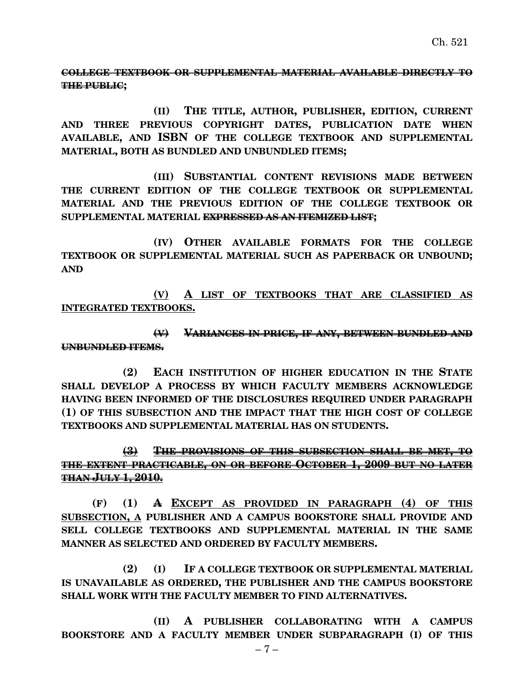## **COLLEGE TEXTBOOK OR SUPPLEMENTAL MATERIAL AVAILABLE DIRECTLY TO THE PUBLIC;**

**(II) THE TITLE, AUTHOR, PUBLISHER, EDITION, CURRENT AND THREE PREVIOUS COPYRIGHT DATES, PUBLICATION DATE WHEN AVAILABLE, AND ISBN OF THE COLLEGE TEXTBOOK AND SUPPLEMENTAL MATERIAL, BOTH AS BUNDLED AND UNBUNDLED ITEMS;**

**(III) SUBSTANTIAL CONTENT REVISIONS MADE BETWEEN THE CURRENT EDITION OF THE COLLEGE TEXTBOOK OR SUPPLEMENTAL MATERIAL AND THE PREVIOUS EDITION OF THE COLLEGE TEXTBOOK OR SUPPLEMENTAL MATERIAL EXPRESSED AS AN ITEMIZED LIST;**

**(IV) OTHER AVAILABLE FORMATS FOR THE COLLEGE TEXTBOOK OR SUPPLEMENTAL MATERIAL SUCH AS PAPERBACK OR UNBOUND; AND**

**(V) A LIST OF TEXTBOOKS THAT ARE CLASSIFIED AS INTEGRATED TEXTBOOKS.**

**(V) VARIANCES IN PRICE, IF ANY, BETWEEN BUNDLED AND UNBUNDLED ITEMS.**

**(2) EACH INSTITUTION OF HIGHER EDUCATION IN THE STATE SHALL DEVELOP A PROCESS BY WHICH FACULTY MEMBERS ACKNOWLEDGE HAVING BEEN INFORMED OF THE DISCLOSURES REQUIRED UNDER PARAGRAPH (1) OF THIS SUBSECTION AND THE IMPACT THAT THE HIGH COST OF COLLEGE TEXTBOOKS AND SUPPLEMENTAL MATERIAL HAS ON STUDENTS.**

## **(3) THE PROVISIONS OF THIS SUBSECTION SHALL BE MET, TO THE EXTENT PRACTICABLE, ON OR BEFORE OCTOBER 1, 2009 BUT NO LATER THAN JULY 1, 2010.**

**(F) (1) A EXCEPT AS PROVIDED IN PARAGRAPH (4) OF THIS SUBSECTION, A PUBLISHER AND A CAMPUS BOOKSTORE SHALL PROVIDE AND SELL COLLEGE TEXTBOOKS AND SUPPLEMENTAL MATERIAL IN THE SAME MANNER AS SELECTED AND ORDERED BY FACULTY MEMBERS.**

**(2) (I) IF A COLLEGE TEXTBOOK OR SUPPLEMENTAL MATERIAL IS UNAVAILABLE AS ORDERED, THE PUBLISHER AND THE CAMPUS BOOKSTORE SHALL WORK WITH THE FACULTY MEMBER TO FIND ALTERNATIVES.**

**(II) A PUBLISHER COLLABORATING WITH A CAMPUS BOOKSTORE AND A FACULTY MEMBER UNDER SUBPARAGRAPH (I) OF THIS**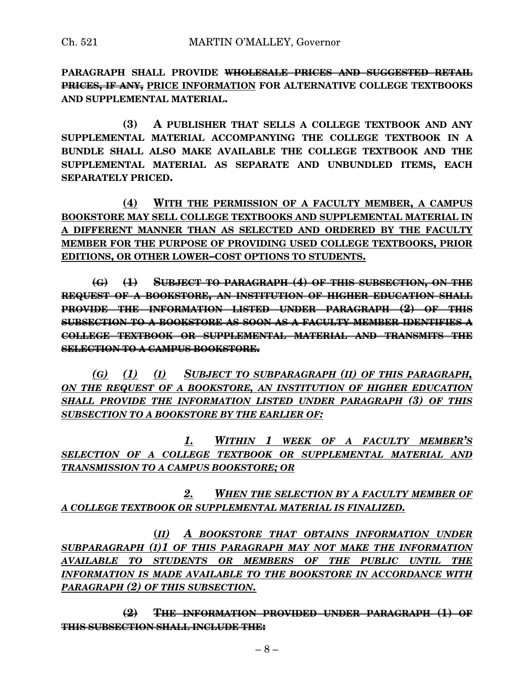**PARAGRAPH SHALL PROVIDE WHOLESALE PRICES AND SUGGESTED RETAIL PRICES, IF ANY, PRICE INFORMATION FOR ALTERNATIVE COLLEGE TEXTBOOKS AND SUPPLEMENTAL MATERIAL.**

**(3) A PUBLISHER THAT SELLS A COLLEGE TEXTBOOK AND ANY SUPPLEMENTAL MATERIAL ACCOMPANYING THE COLLEGE TEXTBOOK IN A BUNDLE SHALL ALSO MAKE AVAILABLE THE COLLEGE TEXTBOOK AND THE SUPPLEMENTAL MATERIAL AS SEPARATE AND UNBUNDLED ITEMS, EACH SEPARATELY PRICED.**

**(4) WITH THE PERMISSION OF A FACULTY MEMBER, A CAMPUS BOOKSTORE MAY SELL COLLEGE TEXTBOOKS AND SUPPLEMENTAL MATERIAL IN A DIFFERENT MANNER THAN AS SELECTED AND ORDERED BY THE FACULTY MEMBER FOR THE PURPOSE OF PROVIDING USED COLLEGE TEXTBOOKS, PRIOR EDITIONS, OR OTHER LOWER–COST OPTIONS TO STUDENTS.**

**(G) (1) SUBJECT TO PARAGRAPH (4) OF THIS SUBSECTION, ON THE REQUEST OF A BOOKSTORE, AN INSTITUTION OF HIGHER EDUCATION SHALL PROVIDE THE INFORMATION LISTED UNDER PARAGRAPH (2) OF THIS SUBSECTION TO A BOOKSTORE AS SOON AS A FACULTY MEMBER IDENTIFIES A COLLEGE TEXTBOOK OR SUPPLEMENTAL MATERIAL AND TRANSMITS THE SELECTION TO A CAMPUS BOOKSTORE.**

*(G) (1) (I) SUBJECT TO SUBPARAGRAPH (II) OF THIS PARAGRAPH, ON THE REQUEST OF A BOOKSTORE, AN INSTITUTION OF HIGHER EDUCATION SHALL PROVIDE THE INFORMATION LISTED UNDER PARAGRAPH (3) OF THIS SUBSECTION TO A BOOKSTORE BY THE EARLIER OF:*

*1. WITHIN 1 WEEK OF A FACULTY MEMBER'S SELECTION OF A COLLEGE TEXTBOOK OR SUPPLEMENTAL MATERIAL AND TRANSMISSION TO A CAMPUS BOOKSTORE; OR*

*2. WHEN THE SELECTION BY A FACULTY MEMBER OF A COLLEGE TEXTBOOK OR SUPPLEMENTAL MATERIAL IS FINALIZED.*

**(***II) A BOOKSTORE THAT OBTAINS INFORMATION UNDER SUBPARAGRAPH (I)1 OF THIS PARAGRAPH MAY NOT MAKE THE INFORMATION AVAILABLE TO STUDENTS OR MEMBERS OF THE PUBLIC UNTIL THE INFORMATION IS MADE AVAILABLE TO THE BOOKSTORE IN ACCORDANCE WITH PARAGRAPH (2) OF THIS SUBSECTION.*

**(2) THE INFORMATION PROVIDED UNDER PARAGRAPH (1) OF THIS SUBSECTION SHALL INCLUDE THE:**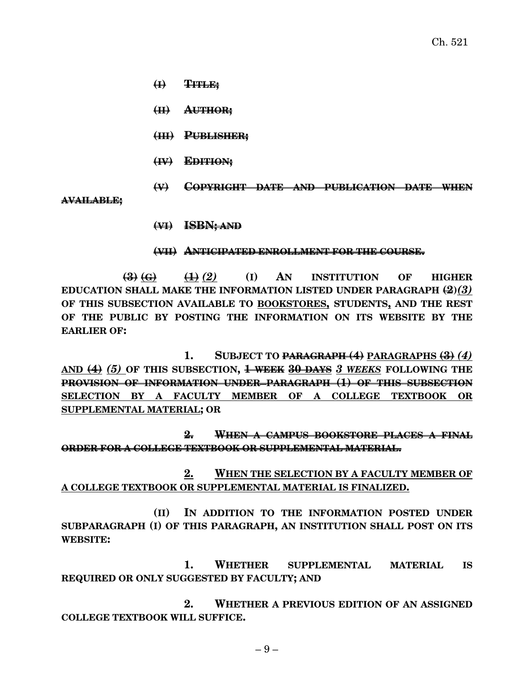- **(I) TITLE;**
- **(II) AUTHOR;**
- **(III) PUBLISHER;**
- **(IV) EDITION;**
- **(V) COPYRIGHT DATE AND PUBLICATION DATE WHEN**

**AVAILABLE;**

**(VI) ISBN; AND**

## **(VII) ANTICIPATED ENROLLMENT FOR THE COURSE.**

**(3) (G) (1)** *(2)* **(I) AN INSTITUTION OF HIGHER EDUCATION SHALL MAKE THE INFORMATION LISTED UNDER PARAGRAPH (2)***(3)* **OF THIS SUBSECTION AVAILABLE TO BOOKSTORES, STUDENTS, AND THE REST OF THE PUBLIC BY POSTING THE INFORMATION ON ITS WEBSITE BY THE EARLIER OF:**

**1. SUBJECT TO PARAGRAPH (4) PARAGRAPHS (3)** *(4)* **AND (4)** *(5)* **OF THIS SUBSECTION, 1 WEEK 30 DAYS** *3 WEEKS* **FOLLOWING THE PROVISION OF INFORMATION UNDER PARAGRAPH (1) OF THIS SUBSECTION SELECTION BY A FACULTY MEMBER OF A COLLEGE TEXTBOOK OR SUPPLEMENTAL MATERIAL; OR**

**2. WHEN A CAMPUS BOOKSTORE PLACES A FINAL ORDER FOR A COLLEGE TEXTBOOK OR SUPPLEMENTAL MATERIAL.**

**2. WHEN THE SELECTION BY A FACULTY MEMBER OF A COLLEGE TEXTBOOK OR SUPPLEMENTAL MATERIAL IS FINALIZED.**

**(II) IN ADDITION TO THE INFORMATION POSTED UNDER SUBPARAGRAPH (I) OF THIS PARAGRAPH, AN INSTITUTION SHALL POST ON ITS WEBSITE:**

**1. WHETHER SUPPLEMENTAL MATERIAL IS REQUIRED OR ONLY SUGGESTED BY FACULTY; AND**

**2. WHETHER A PREVIOUS EDITION OF AN ASSIGNED COLLEGE TEXTBOOK WILL SUFFICE.**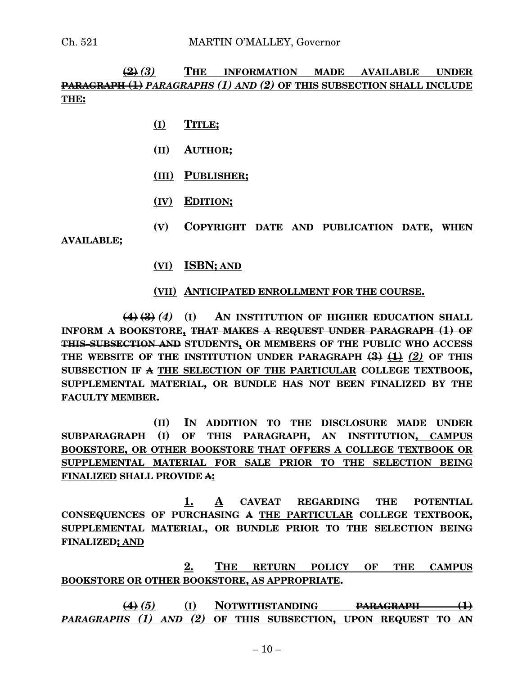## **(2)** *(3)* **THE INFORMATION MADE AVAILABLE UNDER PARAGRAPH (1)** *PARAGRAPHS (1) AND (2)* **OF THIS SUBSECTION SHALL INCLUDE THE:**

- **(I) TITLE;**
- **(II) AUTHOR;**
- **(III) PUBLISHER;**
- **(IV) EDITION;**
- **(V) COPYRIGHT DATE AND PUBLICATION DATE, WHEN**

**AVAILABLE;**

**(VI) ISBN; AND**

#### **(VII) ANTICIPATED ENROLLMENT FOR THE COURSE.**

**(4) (3)** *(4)* **(I) AN INSTITUTION OF HIGHER EDUCATION SHALL INFORM A BOOKSTORE, THAT MAKES A REQUEST UNDER PARAGRAPH (1) OF THIS SUBSECTION AND STUDENTS, OR MEMBERS OF THE PUBLIC WHO ACCESS THE WEBSITE OF THE INSTITUTION UNDER PARAGRAPH (3) (1)** *(2)* **OF THIS SUBSECTION IF A THE SELECTION OF THE PARTICULAR COLLEGE TEXTBOOK, SUPPLEMENTAL MATERIAL, OR BUNDLE HAS NOT BEEN FINALIZED BY THE FACULTY MEMBER.**

**(II) IN ADDITION TO THE DISCLOSURE MADE UNDER SUBPARAGRAPH (I) OF THIS PARAGRAPH, AN INSTITUTION, CAMPUS BOOKSTORE, OR OTHER BOOKSTORE THAT OFFERS A COLLEGE TEXTBOOK OR SUPPLEMENTAL MATERIAL FOR SALE PRIOR TO THE SELECTION BEING FINALIZED SHALL PROVIDE A:**

**1. A CAVEAT REGARDING THE POTENTIAL CONSEQUENCES OF PURCHASING A THE PARTICULAR COLLEGE TEXTBOOK, SUPPLEMENTAL MATERIAL, OR BUNDLE PRIOR TO THE SELECTION BEING FINALIZED; AND**

**2. THE RETURN POLICY OF THE CAMPUS BOOKSTORE OR OTHER BOOKSTORE, AS APPROPRIATE.**

**(4)** *(5)* **(I) NOTWITHSTANDING PARAGRAPH (1)** *PARAGRAPHS (1) AND (2)* **OF THIS SUBSECTION, UPON REQUEST TO AN**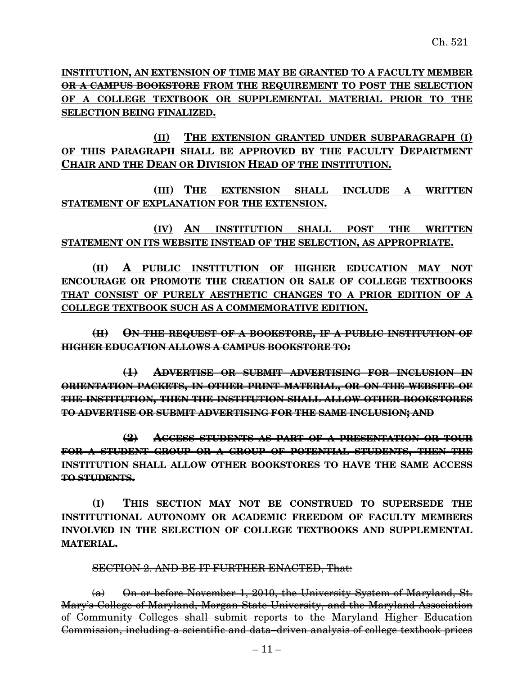**INSTITUTION, AN EXTENSION OF TIME MAY BE GRANTED TO A FACULTY MEMBER OR A CAMPUS BOOKSTORE FROM THE REQUIREMENT TO POST THE SELECTION OF A COLLEGE TEXTBOOK OR SUPPLEMENTAL MATERIAL PRIOR TO THE SELECTION BEING FINALIZED.**

**(II) THE EXTENSION GRANTED UNDER SUBPARAGRAPH (I) OF THIS PARAGRAPH SHALL BE APPROVED BY THE FACULTY DEPARTMENT CHAIR AND THE DEAN OR DIVISION HEAD OF THE INSTITUTION.**

**(III) THE EXTENSION SHALL INCLUDE A WRITTEN STATEMENT OF EXPLANATION FOR THE EXTENSION.**

**(IV) AN INSTITUTION SHALL POST THE WRITTEN STATEMENT ON ITS WEBSITE INSTEAD OF THE SELECTION, AS APPROPRIATE.**

**(H) A PUBLIC INSTITUTION OF HIGHER EDUCATION MAY NOT ENCOURAGE OR PROMOTE THE CREATION OR SALE OF COLLEGE TEXTBOOKS THAT CONSIST OF PURELY AESTHETIC CHANGES TO A PRIOR EDITION OF A COLLEGE TEXTBOOK SUCH AS A COMMEMORATIVE EDITION.**

**(H) ON THE REQUEST OF A BOOKSTORE, IF A PUBLIC INSTITUTION OF HIGHER EDUCATION ALLOWS A CAMPUS BOOKSTORE TO:**

**(1) ADVERTISE OR SUBMIT ADVERTISING FOR INCLUSION IN ORIENTATION PACKETS, IN OTHER PRINT MATERIAL, OR ON THE WEBSITE OF THE INSTITUTION, THEN THE INSTITUTION SHALL ALLOW OTHER BOOKSTORES TO ADVERTISE OR SUBMIT ADVERTISING FOR THE SAME INCLUSION; AND**

**(2) ACCESS STUDENTS AS PART OF A PRESENTATION OR TOUR FOR A STUDENT GROUP OR A GROUP OF POTENTIAL STUDENTS, THEN THE INSTITUTION SHALL ALLOW OTHER BOOKSTORES TO HAVE THE SAME ACCESS TO STUDENTS.**

**(I) THIS SECTION MAY NOT BE CONSTRUED TO SUPERSEDE THE INSTITUTIONAL AUTONOMY OR ACADEMIC FREEDOM OF FACULTY MEMBERS INVOLVED IN THE SELECTION OF COLLEGE TEXTBOOKS AND SUPPLEMENTAL MATERIAL.**

SECTION 2. AND BE IT FURTHER ENACTED, That:

 $(a)$  On or before November 1, 2010, the University System of Maryland, St. Mary's College of Maryland, Morgan State University, and the Maryland Association of Community Colleges shall submit reports to the Maryland Higher Education Commission, including a scientific and data–driven analysis of college textbook prices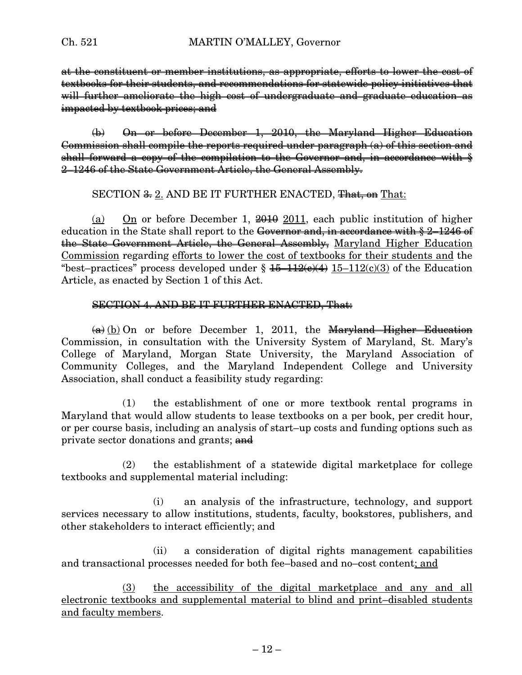at the constituent or member institutions, as appropriate, efforts to lower the cost of textbooks for their students, and recommendations for statewide policy initiatives that will further ameliorate the high cost of undergraduate and graduate education as impacted by textbook prices; and

(b) On or before December 1, 2010, the Maryland Higher Education Commission shall compile the reports required under paragraph (a) of this section and shall forward a copy of the compilation to the Governor and, in accordance with  $\frac{1}{2}$ 2–1246 of the State Government Article, the General Assembly.

SECTION  $\frac{2}{\sqrt{3}}$  2. AND BE IT FURTHER ENACTED, That, on That:

(a) On or before December 1,  $\frac{2010}{100}$  and public institution of higher education in the State shall report to the Governor and, in accordance with § 2–1246 of the State Government Article, the General Assembly, Maryland Higher Education Commission regarding efforts to lower the cost of textbooks for their students and the "best–practices" process developed under  $\S 45-112(e)(4) 15-112(e)(3)$  of the Education Article, as enacted by Section 1 of this Act.

#### SECTION 4. AND BE IT FURTHER ENACTED, That:

 $(a)$  (b) On or before December 1, 2011, the Maryland Higher Education Commission, in consultation with the University System of Maryland, St. Mary's College of Maryland, Morgan State University, the Maryland Association of Community Colleges, and the Maryland Independent College and University Association, shall conduct a feasibility study regarding:

(1) the establishment of one or more textbook rental programs in Maryland that would allow students to lease textbooks on a per book, per credit hour, or per course basis, including an analysis of start–up costs and funding options such as private sector donations and grants; and

(2) the establishment of a statewide digital marketplace for college textbooks and supplemental material including:

(i) an analysis of the infrastructure, technology, and support services necessary to allow institutions, students, faculty, bookstores, publishers, and other stakeholders to interact efficiently; and

(ii) a consideration of digital rights management capabilities and transactional processes needed for both fee–based and no–cost content; and

(3) the accessibility of the digital marketplace and any and all electronic textbooks and supplemental material to blind and print–disabled students and faculty members.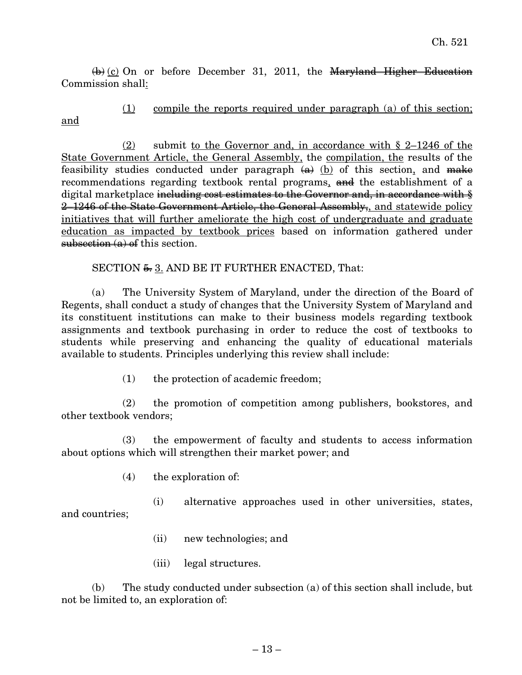$\overline{a}(k)$  (c) On or before December 31, 2011, the Maryland Higher Education Commission shall:

(1) compile the reports required under paragraph (a) of this section; and

(2) submit to the Governor and, in accordance with § 2–1246 of the State Government Article, the General Assembly, the compilation, the results of the feasibility studies conducted under paragraph  $(a)$  (b) of this section, and make recommendations regarding textbook rental programs, and the establishment of a digital marketplace including cost estimates to the Governor and, in accordance with  $\frac{1}{2}$ 2–1246 of the State Government Article, the General Assembly, and statewide policy initiatives that will further ameliorate the high cost of undergraduate and graduate education as impacted by textbook prices based on information gathered under subsection  $(a)$  of this section.

## SECTION  $\frac{5}{2}$ . AND BE IT FURTHER ENACTED, That:

(a) The University System of Maryland, under the direction of the Board of Regents, shall conduct a study of changes that the University System of Maryland and its constituent institutions can make to their business models regarding textbook assignments and textbook purchasing in order to reduce the cost of textbooks to students while preserving and enhancing the quality of educational materials available to students. Principles underlying this review shall include:

(1) the protection of academic freedom;

(2) the promotion of competition among publishers, bookstores, and other textbook vendors;

(3) the empowerment of faculty and students to access information about options which will strengthen their market power; and

(4) the exploration of:

(i) alternative approaches used in other universities, states, and countries;

- (ii) new technologies; and
- (iii) legal structures.

(b) The study conducted under subsection (a) of this section shall include, but not be limited to, an exploration of: